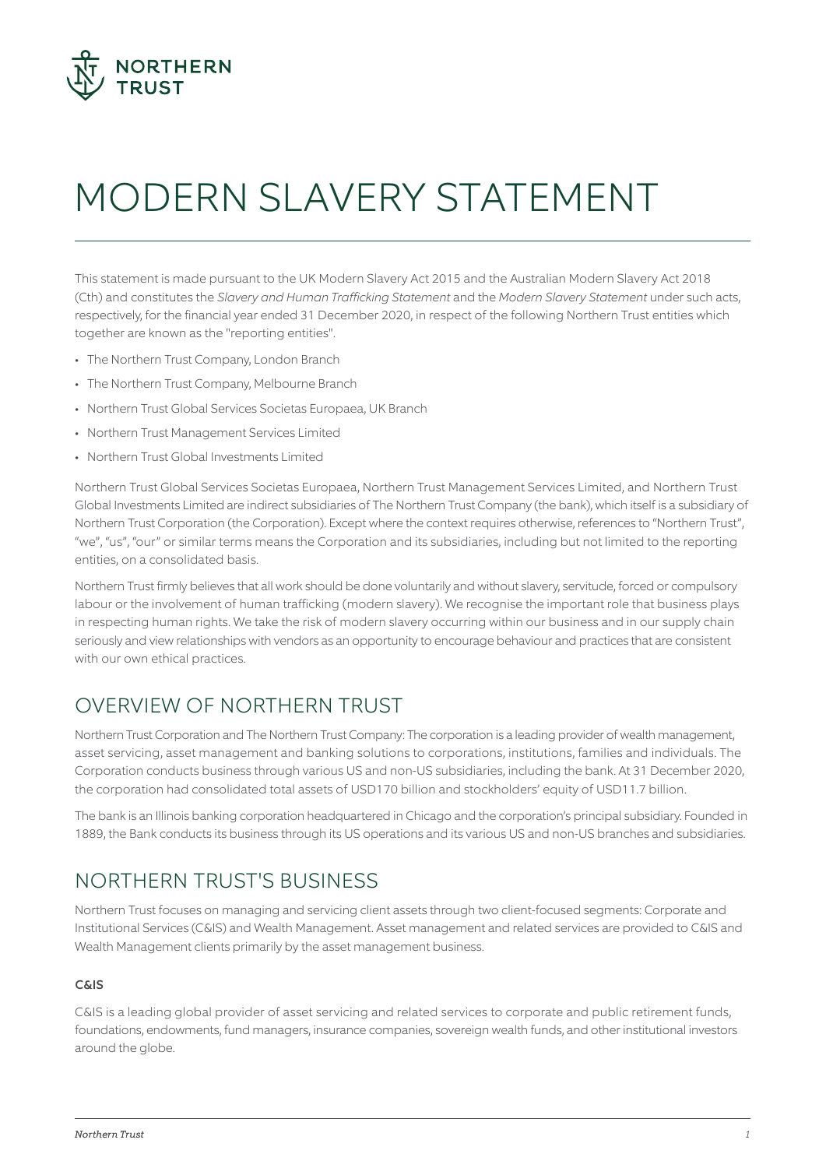

# MODERN SLAVERY STATEMENT

This statement is made pursuant to the UK Modern Slavery Act 2015 and the Australian Modern Slavery Act 2018 (Cth) and constitutes the *Slavery and Human Trafficking Statement* and the *Modern Slavery Statement* under such acts, respectively, for the financial year ended 31 December 2020, in respect of the following Northern Trust entities which together are known as the "reporting entities".

- The Northern Trust Company, London Branch
- The Northern Trust Company, Melbourne Branch
- Northern Trust Global Services Societas Europaea, UK Branch
- Northern Trust Management Services Limited
- Northern Trust Global Investments Limited

Northern Trust Global Services Societas Europaea, Northern Trust Management Services Limited, and Northern Trust Global Investments Limited are indirect subsidiaries of The Northern Trust Company (the bank), which itself is a subsidiary of Northern Trust Corporation (the Corporation). Except where the context requires otherwise, references to "Northern Trust", "we", "us", "our" or similar terms means the Corporation and its subsidiaries, including but not limited to the reporting entities, on a consolidated basis.

Northern Trust firmly believes that all work should be done voluntarily and without slavery, servitude, forced or compulsory labour or the involvement of human trafficking (modern slavery). We recognise the important role that business plays in respecting human rights. We take the risk of modern slavery occurring within our business and in our supply chain seriously and view relationships with vendors as an opportunity to encourage behaviour and practices that are consistent with our own ethical practices.

# OVERVIEW OF NORTHERN TRUST

Northern Trust Corporation and The Northern Trust Company: The corporation is a leading provider of wealth management, asset servicing, asset management and banking solutions to corporations, institutions, families and individuals. The Corporation conducts business through various US and non-US subsidiaries, including the bank. At 31 December 2020, the corporation had consolidated total assets of USD170 billion and stockholders' equity of USD11.7 billion.

The bank is an Illinois banking corporation headquartered in Chicago and the corporation's principal subsidiary. Founded in 1889, the Bank conducts its business through its US operations and its various US and non-US branches and subsidiaries.

# NORTHERN TRUST'S BUSINESS

Northern Trust focuses on managing and servicing client assets through two client-focused segments: Corporate and Institutional Services (C&IS) and Wealth Management. Asset management and related services are provided to C&IS and Wealth Management clients primarily by the asset management business.

#### C&IS

C&IS is a leading global provider of asset servicing and related services to corporate and public retirement funds, foundations, endowments, fund managers, insurance companies, sovereign wealth funds, and other institutional investors around the globe.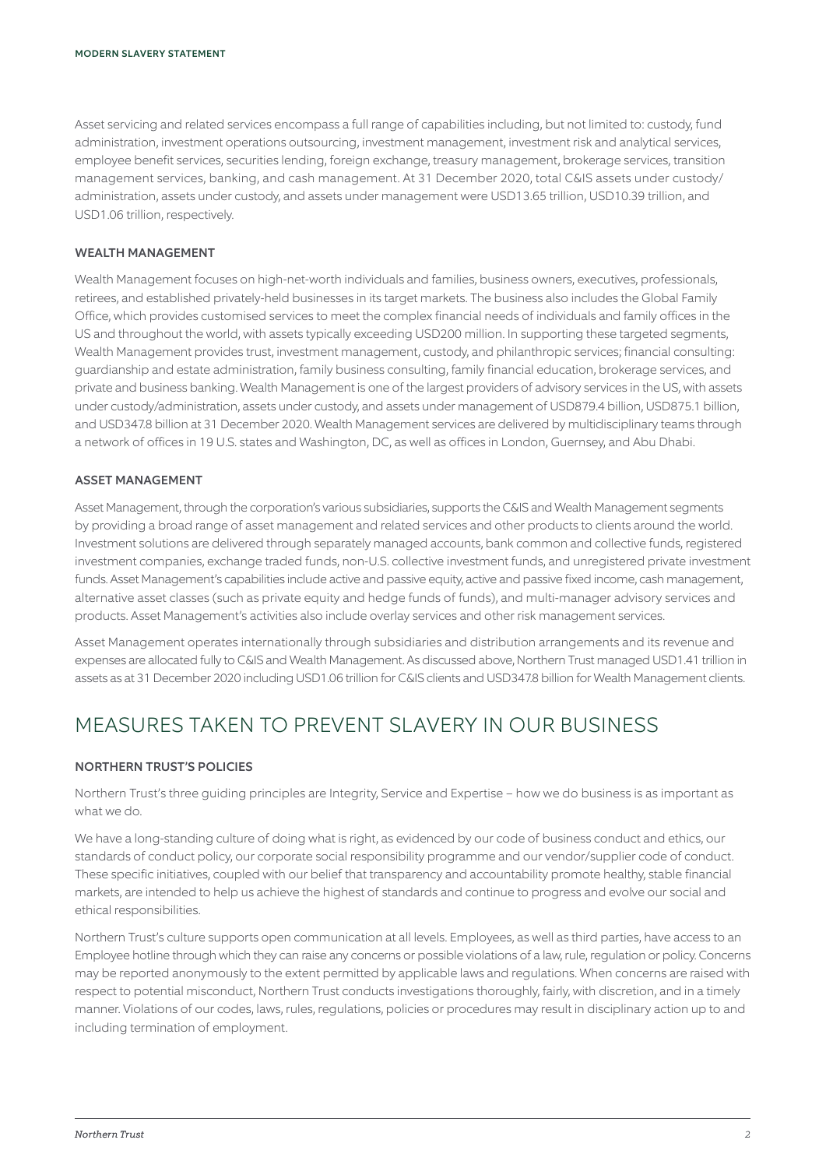Asset servicing and related services encompass a full range of capabilities including, but not limited to: custody, fund administration, investment operations outsourcing, investment management, investment risk and analytical services, employee benefit services, securities lending, foreign exchange, treasury management, brokerage services, transition management services, banking, and cash management. At 31 December 2020, total C&IS assets under custody/ administration, assets under custody, and assets under management were USD13.65 trillion, USD10.39 trillion, and USD1.06 trillion, respectively.

#### WEALTH MANAGEMENT

Wealth Management focuses on high-net-worth individuals and families, business owners, executives, professionals, retirees, and established privately-held businesses in its target markets. The business also includes the Global Family Office, which provides customised services to meet the complex financial needs of individuals and family offices in the US and throughout the world, with assets typically exceeding USD200 million. In supporting these targeted segments, Wealth Management provides trust, investment management, custody, and philanthropic services; financial consulting: guardianship and estate administration, family business consulting, family financial education, brokerage services, and private and business banking. Wealth Management is one of the largest providers of advisory services in the US, with assets under custody/administration, assets under custody, and assets under management of USD879.4 billion, USD875.1 billion, and USD347.8 billion at 31 December 2020. Wealth Management services are delivered by multidisciplinary teams through a network of offices in 19 U.S. states and Washington, DC, as well as offices in London, Guernsey, and Abu Dhabi.

#### ASSET MANAGEMENT

Asset Management, through the corporation's various subsidiaries, supports the C&IS and Wealth Management segments by providing a broad range of asset management and related services and other products to clients around the world. Investment solutions are delivered through separately managed accounts, bank common and collective funds, registered investment companies, exchange traded funds, non-U.S. collective investment funds, and unregistered private investment funds. Asset Management's capabilities include active and passive equity, active and passive fixed income, cash management, alternative asset classes (such as private equity and hedge funds of funds), and multi-manager advisory services and products. Asset Management's activities also include overlay services and other risk management services.

Asset Management operates internationally through subsidiaries and distribution arrangements and its revenue and expenses are allocated fully to C&IS and Wealth Management. As discussed above, Northern Trust managed USD1.41 trillion in assets as at 31 December 2020 including USD1.06 trillion for C&IS clients and USD347.8 billion for Wealth Management clients.

## MEASURES TAKEN TO PREVENT SLAVERY IN OUR BUSINESS

#### NORTHERN TRUST'S POLICIES

Northern Trust's three guiding principles are Integrity, Service and Expertise – how we do business is as important as what we do.

We have a long-standing culture of doing what is right, as evidenced by our code of business conduct and ethics, our standards of conduct policy, our corporate social responsibility programme and our vendor/supplier code of conduct. These specific initiatives, coupled with our belief that transparency and accountability promote healthy, stable financial markets, are intended to help us achieve the highest of standards and continue to progress and evolve our social and ethical responsibilities.

Northern Trust's culture supports open communication at all levels. Employees, as well as third parties, have access to an Employee hotline through which they can raise any concerns or possible violations of a law, rule, regulation or policy. Concerns may be reported anonymously to the extent permitted by applicable laws and regulations. When concerns are raised with respect to potential misconduct, Northern Trust conducts investigations thoroughly, fairly, with discretion, and in a timely manner. Violations of our codes, laws, rules, regulations, policies or procedures may result in disciplinary action up to and including termination of employment.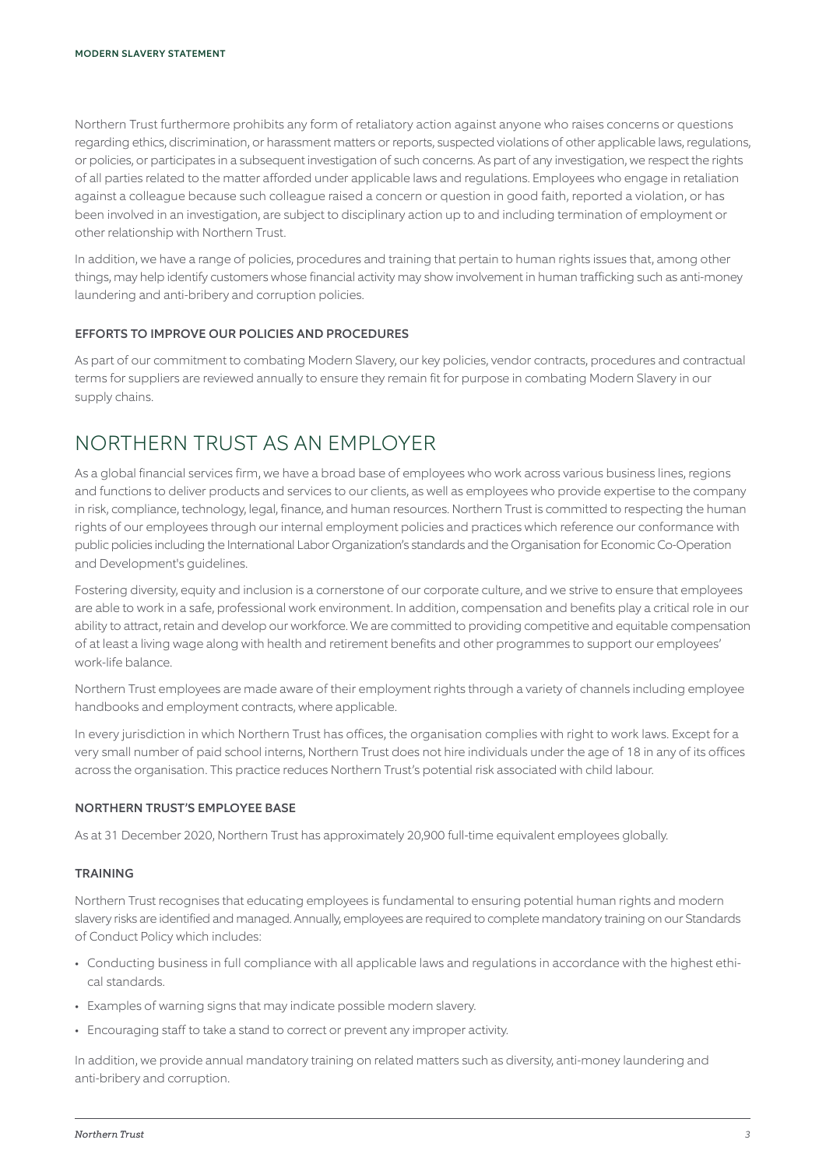Northern Trust furthermore prohibits any form of retaliatory action against anyone who raises concerns or questions regarding ethics, discrimination, or harassment matters or reports, suspected violations of other applicable laws, regulations, or policies, or participates in a subsequent investigation of such concerns. As part of any investigation, we respect the rights of all parties related to the matter afforded under applicable laws and regulations. Employees who engage in retaliation against a colleague because such colleague raised a concern or question in good faith, reported a violation, or has been involved in an investigation, are subject to disciplinary action up to and including termination of employment or other relationship with Northern Trust.

In addition, we have a range of policies, procedures and training that pertain to human rights issues that, among other things, may help identify customers whose financial activity may show involvement in human trafficking such as anti-money laundering and anti-bribery and corruption policies.

#### EFFORTS TO IMPROVE OUR POLICIES AND PROCEDURES

As part of our commitment to combating Modern Slavery, our key policies, vendor contracts, procedures and contractual terms for suppliers are reviewed annually to ensure they remain fit for purpose in combating Modern Slavery in our supply chains.

## NORTHERN TRUST AS AN EMPLOYER

As a global financial services firm, we have a broad base of employees who work across various business lines, regions and functions to deliver products and services to our clients, as well as employees who provide expertise to the company in risk, compliance, technology, legal, finance, and human resources. Northern Trust is committed to respecting the human rights of our employees through our internal employment policies and practices which reference our conformance with public policies including the International Labor Organization's standards and the Organisation for Economic Co-Operation and Development's guidelines.

Fostering diversity, equity and inclusion is a cornerstone of our corporate culture, and we strive to ensure that employees are able to work in a safe, professional work environment. In addition, compensation and benefits play a critical role in our ability to attract, retain and develop our workforce. We are committed to providing competitive and equitable compensation of at least a living wage along with health and retirement benefits and other programmes to support our employees' work-life balance.

Northern Trust employees are made aware of their employment rights through a variety of channels including employee handbooks and employment contracts, where applicable.

In every jurisdiction in which Northern Trust has offices, the organisation complies with right to work laws. Except for a very small number of paid school interns, Northern Trust does not hire individuals under the age of 18 in any of its offices across the organisation. This practice reduces Northern Trust's potential risk associated with child labour.

#### NORTHERN TRUST'S EMPLOYEE BASE

As at 31 December 2020, Northern Trust has approximately 20,900 full-time equivalent employees globally.

#### TRAINING

Northern Trust recognises that educating employees is fundamental to ensuring potential human rights and modern slavery risks are identified and managed. Annually, employees are required to complete mandatory training on our Standards of Conduct Policy which includes:

- Conducting business in full compliance with all applicable laws and regulations in accordance with the highest ethical standards.
- Examples of warning signs that may indicate possible modern slavery.
- Encouraging staff to take a stand to correct or prevent any improper activity.

In addition, we provide annual mandatory training on related matters such as diversity, anti-money laundering and anti-bribery and corruption.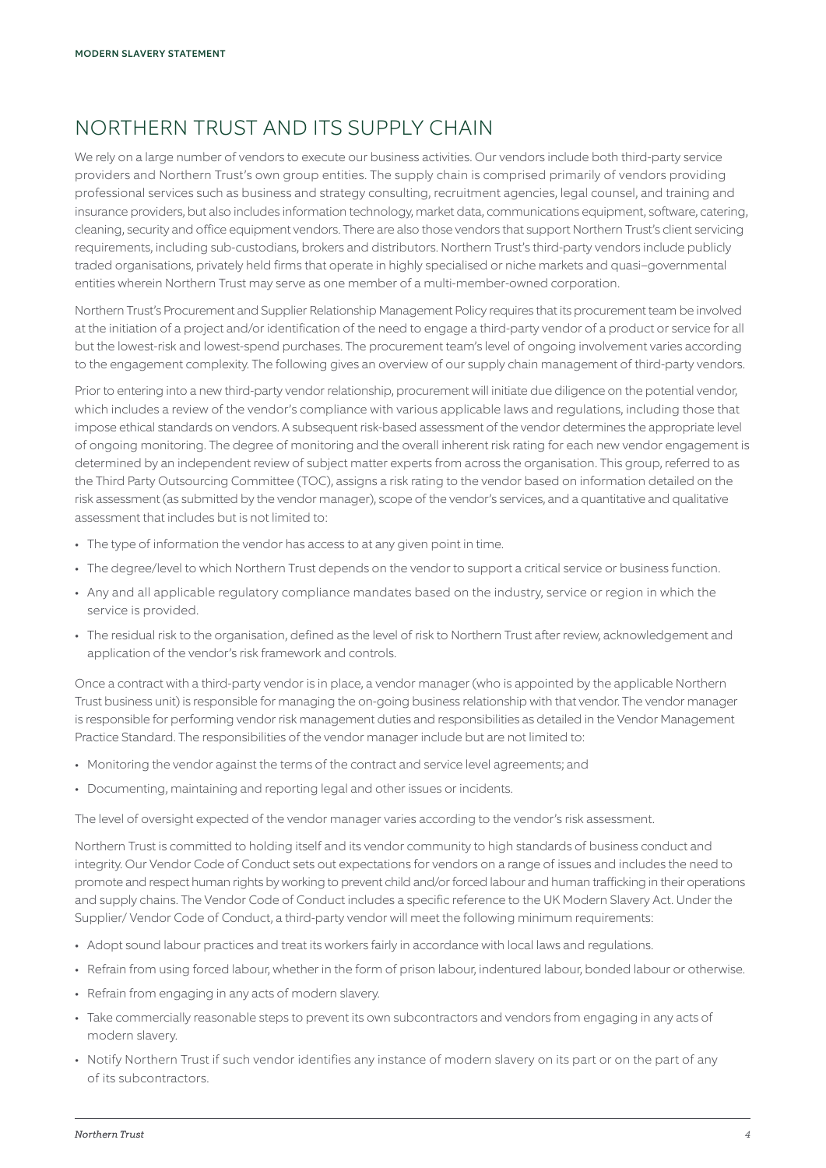# NORTHERN TRUST AND ITS SUPPLY CHAIN

We rely on a large number of vendors to execute our business activities. Our vendors include both third-party service providers and Northern Trust's own group entities. The supply chain is comprised primarily of vendors providing professional services such as business and strategy consulting, recruitment agencies, legal counsel, and training and insurance providers, but also includes information technology, market data, communications equipment, software, catering, cleaning, security and office equipment vendors. There are also those vendors that support Northern Trust's client servicing requirements, including sub-custodians, brokers and distributors. Northern Trust's third-party vendors include publicly traded organisations, privately held firms that operate in highly specialised or niche markets and quasi–governmental entities wherein Northern Trust may serve as one member of a multi-member-owned corporation.

Northern Trust's Procurement and Supplier Relationship Management Policy requires that its procurement team be involved at the initiation of a project and/or identification of the need to engage a third-party vendor of a product or service for all but the lowest-risk and lowest-spend purchases. The procurement team's level of ongoing involvement varies according to the engagement complexity. The following gives an overview of our supply chain management of third-party vendors.

Prior to entering into a new third-party vendor relationship, procurement will initiate due diligence on the potential vendor, which includes a review of the vendor's compliance with various applicable laws and regulations, including those that impose ethical standards on vendors. A subsequent risk-based assessment of the vendor determines the appropriate level of ongoing monitoring. The degree of monitoring and the overall inherent risk rating for each new vendor engagement is determined by an independent review of subject matter experts from across the organisation. This group, referred to as the Third Party Outsourcing Committee (TOC), assigns a risk rating to the vendor based on information detailed on the risk assessment (as submitted by the vendor manager), scope of the vendor's services, and a quantitative and qualitative assessment that includes but is not limited to:

- The type of information the vendor has access to at any given point in time.
- The degree/level to which Northern Trust depends on the vendor to support a critical service or business function.
- Any and all applicable regulatory compliance mandates based on the industry, service or region in which the service is provided.
- The residual risk to the organisation, defined as the level of risk to Northern Trust after review, acknowledgement and application of the vendor's risk framework and controls.

Once a contract with a third-party vendor is in place, a vendor manager (who is appointed by the applicable Northern Trust business unit) is responsible for managing the on-going business relationship with that vendor. The vendor manager is responsible for performing vendor risk management duties and responsibilities as detailed in the Vendor Management Practice Standard. The responsibilities of the vendor manager include but are not limited to:

- Monitoring the vendor against the terms of the contract and service level agreements; and
- Documenting, maintaining and reporting legal and other issues or incidents.

The level of oversight expected of the vendor manager varies according to the vendor's risk assessment.

Northern Trust is committed to holding itself and its vendor community to high standards of business conduct and integrity. Our Vendor Code of Conduct sets out expectations for vendors on a range of issues and includes the need to promote and respect human rights by working to prevent child and/or forced labour and human trafficking in their operations and supply chains. The Vendor Code of Conduct includes a specific reference to the UK Modern Slavery Act. Under the Supplier/ Vendor Code of Conduct, a third-party vendor will meet the following minimum requirements:

- Adopt sound labour practices and treat its workers fairly in accordance with local laws and regulations.
- Refrain from using forced labour, whether in the form of prison labour, indentured labour, bonded labour or otherwise.
- Refrain from engaging in any acts of modern slavery.
- Take commercially reasonable steps to prevent its own subcontractors and vendors from engaging in any acts of modern slavery.
- Notify Northern Trust if such vendor identifies any instance of modern slavery on its part or on the part of any of its subcontractors.